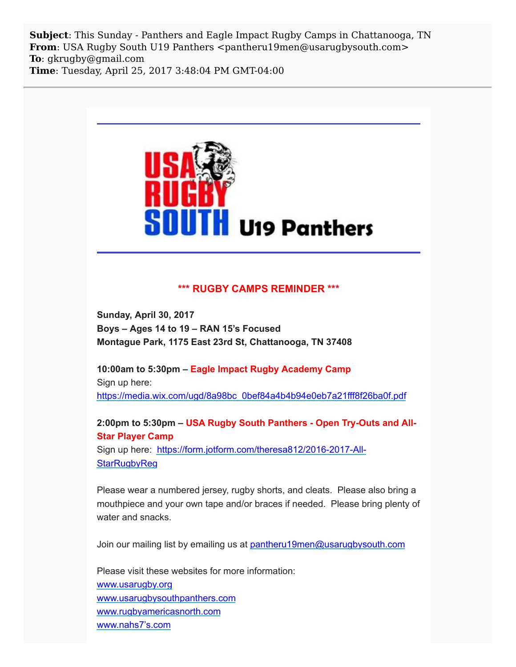**Subject**: This Sunday - Panthers and Eagle Impact Rugby Camps in Chattanooga, TN **From**: USA Rugby South U19 Panthers <pantheru19men@usarugbysouth.com> **To**: gkrugby@gmail.com **Time**: Tuesday, April 25, 2017 3:48:04 PM GMT-04:00



## **\*\*\* RUGBY CAMPS REMINDER \*\*\***

**Sunday, April 30, 2017 Boys – Ages 14 to 19 – RAN 15's Focused Montague Park, 1175 East 23rd St, Chattanooga, TN 37408**

**10:00am to 5:30pm – Eagle Impact Rugby Academy Camp** Sign up here: [https://media.wix.com/ugd/8a98bc\\_0bef84a4b4b94e0eb7a21fff8f26ba0f.pdf](http://usarugbysouthpanthers.us14.list-manage.com/track/click?u=eb4b15ceee985d50206754bca&id=9dad38ef5f&e=6a1545ea88)

**2:00pm to 5:30pm – USA Rugby South Panthers - Open Try-Outs and All-Star Player Camp**

Sign up here: [https://form.jotform.com/theresa812/2016-2017-All-](http://usarugbysouthpanthers.us14.list-manage1.com/track/click?u=eb4b15ceee985d50206754bca&id=07e4400434&e=6a1545ea88)**StarRugbyReg** 

Please wear a numbered jersey, rugby shorts, and cleats. Please also bring a mouthpiece and your own tape and/or braces if needed. Please bring plenty of water and snacks.

Join our mailing list by emailing us at [pantheru19men@usarugbysouth.com](mailto:pantheru19men@usarugbysouth.com)

Please visit these websites for more information: [www.usarugby.org](http://usarugbysouthpanthers.us14.list-manage.com/track/click?u=eb4b15ceee985d50206754bca&id=0f96fd47a1&e=6a1545ea88) [www.usarugbysouthpanthers.com](http://usarugbysouthpanthers.us14.list-manage.com/track/click?u=eb4b15ceee985d50206754bca&id=54e43a7969&e=6a1545ea88) [www.rugbyamericasnorth.com](http://usarugbysouthpanthers.us14.list-manage.com/track/click?u=eb4b15ceee985d50206754bca&id=c610de4b9f&e=6a1545ea88) [www.nahs7's.com](http://usarugbysouthpanthers.us14.list-manage.com/track/click?u=eb4b15ceee985d50206754bca&id=fd68dd3f4f&e=6a1545ea88)